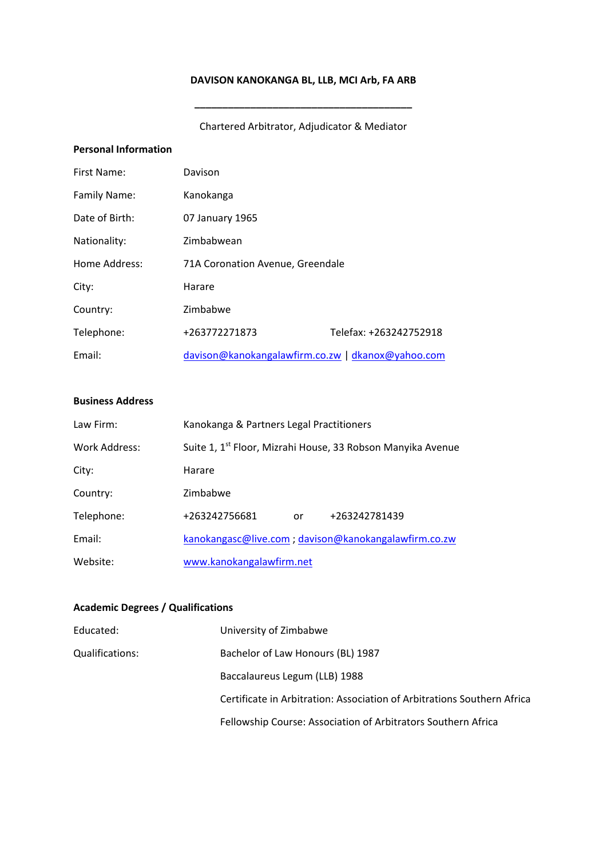# **DAVISON KANOKANGA BL, LLB, MCI Arb, FA ARB**

# Chartered Arbitrator, Adjudicator & Mediator

**\_\_\_\_\_\_\_\_\_\_\_\_\_\_\_\_\_\_\_\_\_\_\_\_\_\_\_\_\_\_\_\_\_\_\_\_\_\_\_**

## **Personal Information**

| First Name:    | Davison                                           |                        |
|----------------|---------------------------------------------------|------------------------|
| Family Name:   | Kanokanga                                         |                        |
| Date of Birth: | 07 January 1965                                   |                        |
| Nationality:   | Zimbabwean                                        |                        |
| Home Address:  | 71A Coronation Avenue, Greendale                  |                        |
| City:          | Harare                                            |                        |
| Country:       | Zimbabwe                                          |                        |
| Telephone:     | +263772271873                                     | Telefax: +263242752918 |
| Email:         | davison@kanokangalawfirm.co.zw   dkanox@yahoo.com |                        |

### **Business Address**

| Law Firm:     | Kanokanga & Partners Legal Practitioners                                |    |               |
|---------------|-------------------------------------------------------------------------|----|---------------|
| Work Address: | Suite 1, 1 <sup>st</sup> Floor, Mizrahi House, 33 Robson Manyika Avenue |    |               |
| City:         | Harare                                                                  |    |               |
| Country:      | Zimbabwe                                                                |    |               |
| Telephone:    | +263242756681                                                           | or | +263242781439 |
| Email:        | kanokangasc@live.com; davison@kanokangalawfirm.co.zw                    |    |               |
| Website:      | www.kanokangalawfirm.net                                                |    |               |

## **Academic Degrees / Qualifications**

| Educated:       | University of Zimbabwe                                                  |
|-----------------|-------------------------------------------------------------------------|
| Qualifications: | Bachelor of Law Honours (BL) 1987                                       |
|                 | Baccalaureus Legum (LLB) 1988                                           |
|                 | Certificate in Arbitration: Association of Arbitrations Southern Africa |
|                 | Fellowship Course: Association of Arbitrators Southern Africa           |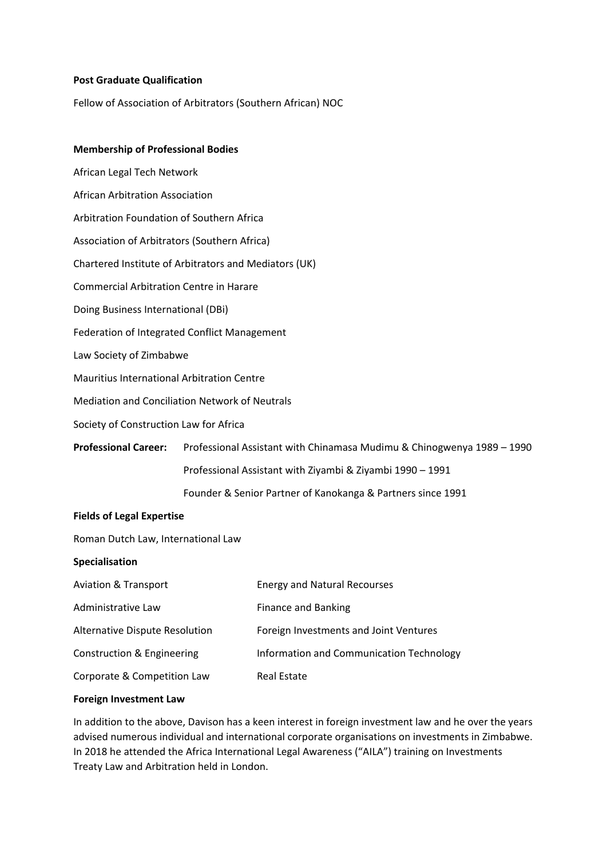## **Post Graduate Qualification**

Fellow of Association of Arbitrators (Southern African) NOC

## **Membership of Professional Bodies**

African Legal Tech Network African Arbitration Association Arbitration Foundation of Southern Africa Association of Arbitrators (Southern Africa) Chartered Institute of Arbitrators and Mediators (UK) Commercial Arbitration Centre in Harare Doing Business International (DBi) Federation of Integrated Conflict Management Law Society of Zimbabwe Mauritius International Arbitration Centre Mediation and Conciliation Network of Neutrals Society of Construction Law for Africa **Professional Career:** Professional Assistant with Chinamasa Mudimu & Chinogwenya 1989 – 1990 Professional Assistant with Ziyambi & Ziyambi 1990 – 1991 Founder & Senior Partner of Kanokanga & Partners since 1991 **Fields of Legal Expertise**

Roman Dutch Law, International Law

#### **Specialisation**

| <b>Aviation &amp; Transport</b>       | <b>Energy and Natural Recourses</b>      |
|---------------------------------------|------------------------------------------|
| Administrative Law                    | Finance and Banking                      |
| <b>Alternative Dispute Resolution</b> | Foreign Investments and Joint Ventures   |
| Construction & Engineering            | Information and Communication Technology |
| Corporate & Competition Law           | <b>Real Estate</b>                       |

#### **Foreign Investment Law**

In addition to the above, Davison has a keen interest in foreign investment law and he over the years advised numerous individual and international corporate organisations on investments in Zimbabwe. In 2018 he attended the Africa International Legal Awareness ("AILA") training on Investments Treaty Law and Arbitration held in London.